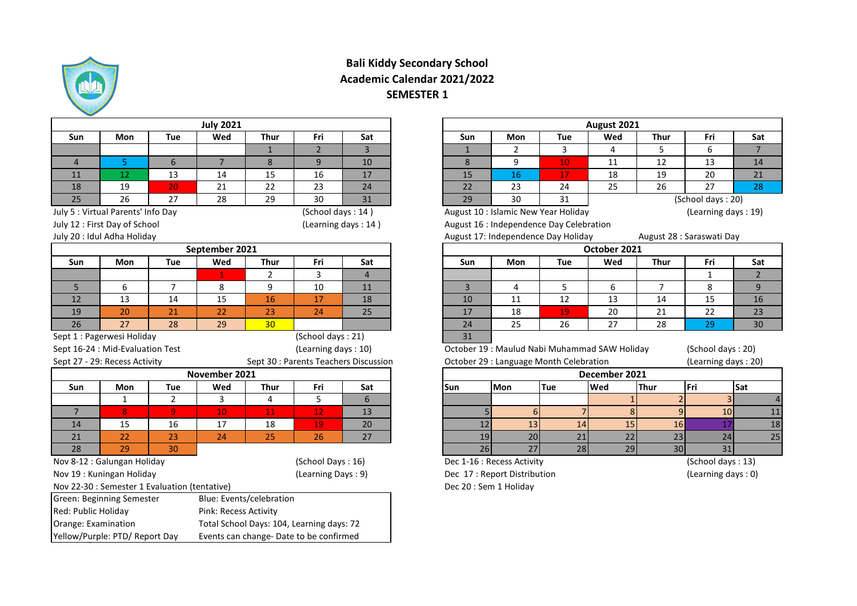

## **Bali Kiddy Secondary School Academic Calendar 2021/2022 SEMESTER 1**

|                     |                                               |                | <b>July 2021</b>      |                          |                                                                                      |                                       |                |                             |                                              | August 2021   |                 |                           |     |
|---------------------|-----------------------------------------------|----------------|-----------------------|--------------------------|--------------------------------------------------------------------------------------|---------------------------------------|----------------|-----------------------------|----------------------------------------------|---------------|-----------------|---------------------------|-----|
| Sun                 | Mon                                           | <b>Tue</b>     | Wed                   | <b>Thur</b>              | Fri                                                                                  | Sat                                   | Sun            | <b>Mon</b>                  | <b>Tue</b>                                   | Wed           | Thur            | Fri                       | Sat |
|                     |                                               |                |                       | $\mathbf{1}$             | $\overline{2}$                                                                       | $\overline{3}$                        | $\mathbf{1}$   | $\overline{2}$              | 3                                            | 4             | 5               | 6                         |     |
| $\overline{4}$      | 5.                                            | 6              | $\overline{7}$        | 8                        | 9                                                                                    | 10                                    | 8              | 9                           | 10 <sub>1</sub>                              | 11            | 12              | 13                        |     |
| 11                  | 12                                            | 13             | 14                    | 15                       | 16                                                                                   | 17                                    | 15             | 16                          | 17                                           | 18            | 19              | 20                        |     |
| 18                  | 19                                            | 20             | 21                    | 22                       | 23                                                                                   | 24                                    | 22             | 23                          | 24                                           | 25            | 26              | 27                        |     |
| 25                  | 26                                            | 27             | 28                    | 29                       | 30                                                                                   | 31                                    | 29             | 30                          | 31                                           |               |                 | (School days: 20)         |     |
|                     | July 5 : Virtual Parents' Info Day            |                |                       |                          | (School days: 14)                                                                    |                                       |                |                             | August 10 : Islamic New Year Holiday         |               |                 | (Learning days: 19)       |     |
|                     | July 12 : First Day of School                 |                |                       |                          | (Learning days: 14)                                                                  |                                       |                |                             | August 16 : Independence Day Celebration     |               |                 |                           |     |
|                     | July 20 : Idul Adha Holiday                   |                |                       |                          |                                                                                      |                                       |                |                             | August 17: Independence Day Holiday          |               |                 | August 28 : Saraswati Day |     |
|                     |                                               |                | September 2021        |                          |                                                                                      |                                       |                |                             |                                              | October 2021  |                 |                           |     |
| Sun                 | <b>Mon</b>                                    | Tue            | Wed                   | <b>Thur</b>              | Fri                                                                                  | Sat                                   | Sun            | Mon                         | <b>Tue</b>                                   | Wed           | <b>Thur</b>     | Fri                       |     |
|                     |                                               |                | 1.                    | 2                        | 3                                                                                    | $\overline{4}$                        |                |                             |                                              |               |                 | $\mathbf{1}$              |     |
| 5                   | 6                                             | $\overline{7}$ | 8                     | 9                        | 10                                                                                   | 11                                    | $\overline{3}$ | 4                           | 5                                            | 6             | $\overline{7}$  | 8                         |     |
| 12                  | 13                                            | 14             | 15                    | 16                       | 17                                                                                   | 18                                    | 10             | 11                          | 12                                           | 13            | 14              | 15                        |     |
| 19                  | 20                                            | 21             | 22                    | 23                       | 24                                                                                   | 25                                    | 17             | 18                          | 19                                           | 20            | 21              | 22                        |     |
| 26                  | 27                                            | 28             | 29                    | 30                       |                                                                                      |                                       | 24             | 25                          | 26                                           | 27            | 28              | 29                        |     |
|                     |                                               |                |                       |                          |                                                                                      |                                       |                |                             |                                              |               |                 |                           |     |
|                     | Sept 1 : Pagerwesi Holiday                    |                |                       |                          | (School days: 21)                                                                    |                                       | 31             |                             |                                              |               |                 |                           |     |
|                     | Sept 16-24 : Mid-Evaluation Test              |                |                       |                          | (Learning days: 10)                                                                  |                                       |                |                             | October 19: Maulud Nabi Muhammad SAW Holiday |               |                 | (School days: 20)         |     |
|                     | Sept 27 - 29: Recess Activity                 |                |                       |                          |                                                                                      | Sept 30 : Parents Teachers Discussion |                |                             | October 29 : Language Month Celebration      |               |                 | (Learning days: 20)       |     |
|                     |                                               |                | November 2021         |                          |                                                                                      |                                       |                |                             |                                              | December 2021 |                 |                           |     |
| Sun                 | Mon                                           | Tue            | Wed                   | <b>Thur</b>              | Fri                                                                                  | Sat                                   | <b>Sun</b>     | <b>Mon</b>                  | <b>Tue</b>                                   | Wed           | <b>Thur</b>     | Fri                       |     |
|                     | $\mathbf{1}$                                  | $\overline{2}$ | 3                     | 4                        | 5                                                                                    | 6                                     |                |                             |                                              |               |                 | $\overline{3}$            |     |
| $\overline{7}$      | 8 <sup>1</sup>                                | $\overline{9}$ | 10                    | 11                       | 12                                                                                   | 13                                    |                |                             | $6 \overline{6}$<br>$\overline{7}$           | 8             | $\mathbf{q}$    | 10                        |     |
| 14                  | 15                                            | 16             | 17                    | 18                       | 19                                                                                   | 20                                    | 12             | 13                          | 14                                           | 15            | 16              | 17                        |     |
| 21                  | 22                                            | 23             | 24                    | 25                       | 26                                                                                   | 27                                    | 19             | 20                          | 21                                           | 22            | 23              | 24                        |     |
| 28                  | 29                                            | 30             |                       |                          |                                                                                      |                                       | 26             | 27                          | 28                                           | 29            | 30 <sub>1</sub> | 31                        |     |
|                     | Nov 8-12 : Galungan Holiday                   |                |                       |                          | (School Days: 16)                                                                    |                                       |                | Dec 1-16 : Recess Activity  |                                              |               |                 | (School days: 13)         |     |
|                     | Nov 19: Kuningan Holiday                      |                |                       |                          | (Learning Days: 9)                                                                   |                                       |                | Dec 17: Report Distribution |                                              |               |                 | (Learning days: 0)        |     |
|                     | Nov 22-30 : Semester 1 Evaluation (tentative) |                |                       |                          |                                                                                      |                                       |                | Dec 20 : Sem 1 Holiday      |                                              |               |                 |                           |     |
|                     | <b>Green: Beginning Semester</b>              |                |                       | Blue: Events/celebration |                                                                                      |                                       |                |                             |                                              |               |                 |                           |     |
| Red: Public Holiday |                                               |                | Pink: Recess Activity |                          |                                                                                      |                                       |                |                             |                                              |               |                 |                           |     |
| Orange: Examination | Yellow/Purple: PTD/ Report Day                |                |                       |                          | Total School Days: 104, Learning days: 72<br>Events can change- Date to be confirmed |                                       |                |                             |                                              |               |                 |                           | Sat |